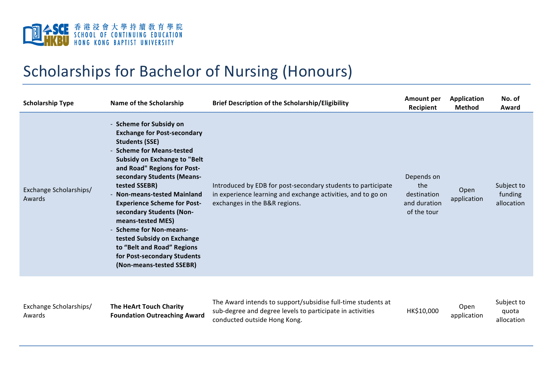

## Scholarships for Bachelor of Nursing (Honours)

| <b>Scholarship Type</b>          | Name of the Scholarship                                                                                                                                                                                                                                                                                                                                                                                                                                                                                          | <b>Brief Description of the Scholarship/Eligibility</b>                                                                                                       | Amount per<br>Recipient                                         | <b>Application</b><br>Method | No. of<br>Award                     |
|----------------------------------|------------------------------------------------------------------------------------------------------------------------------------------------------------------------------------------------------------------------------------------------------------------------------------------------------------------------------------------------------------------------------------------------------------------------------------------------------------------------------------------------------------------|---------------------------------------------------------------------------------------------------------------------------------------------------------------|-----------------------------------------------------------------|------------------------------|-------------------------------------|
| Exchange Scholarships/<br>Awards | - Scheme for Subsidy on<br><b>Exchange for Post-secondary</b><br><b>Students (SSE)</b><br>- Scheme for Means-tested<br><b>Subsidy on Exchange to "Belt</b><br>and Road" Regions for Post-<br>secondary Students (Means-<br>tested SSEBR)<br>- Non-means-tested Mainland<br><b>Experience Scheme for Post-</b><br>secondary Students (Non-<br>means-tested MES)<br>- Scheme for Non-means-<br>tested Subsidy on Exchange<br>to "Belt and Road" Regions<br>for Post-secondary Students<br>(Non-means-tested SSEBR) | Introduced by EDB for post-secondary students to participate<br>in experience learning and exchange activities, and to go on<br>exchanges in the B&R regions. | Depends on<br>the<br>destination<br>and duration<br>of the tour | Open<br>application          | Subject to<br>funding<br>allocation |
| Exchange Scholarshins/           | The HeArt Touch Charity                                                                                                                                                                                                                                                                                                                                                                                                                                                                                          | The Award intends to support/subsidise full-time students at                                                                                                  |                                                                 | Onen                         | Subject to                          |

|                        | <b>The HeArt Touch Charity</b> | The Award intends to support/subsidise full-time students at |            |             | Subject to |
|------------------------|--------------------------------|--------------------------------------------------------------|------------|-------------|------------|
| Exchange Scholarships/ |                                | sub-degree and degree levels to participate in activities    | HK\$10,00C | Oper        | quota      |
| Awards                 | Foundation Outreaching Award   |                                                              |            | applicatior |            |
|                        |                                | conducted outside Hong Kong.                                 |            |             | allocatior |